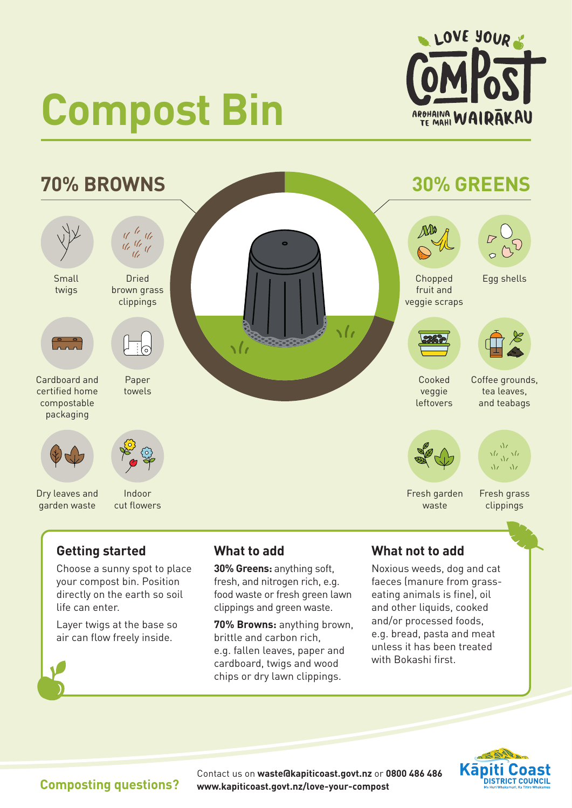

# **Compost Bin**



# **Getting started**

Choose a sunny spot to place your compost bin. Position directly on the earth so soil life can enter.

Layer twigs at the base so air can flow freely inside.

### **What to add**

**30% Greens:** anything soft, fresh, and nitrogen rich, e.g. food waste or fresh green lawn clippings and green waste.

**70% Browns:** anything brown, brittle and carbon rich, e.g. fallen leaves, paper and cardboard, twigs and wood chips or dry lawn clippings.

# **What not to add**

Noxious weeds, dog and cat faeces (manure from grasseating animals is fine), oil and other liquids, cooked and/or processed foods, e.g. bread, pasta and meat unless it has been treated with Bokashi first.



**Composting questions?** Contact us on **[waste@kapiticoast.govt.nz](mailto:waste@kapiticoast.govt.nz)** or **0800 486 486 [www.kapiticoast.govt.nz/love-your-compost](http://www.kapiticoast.govt.nz/love-your-compost)**